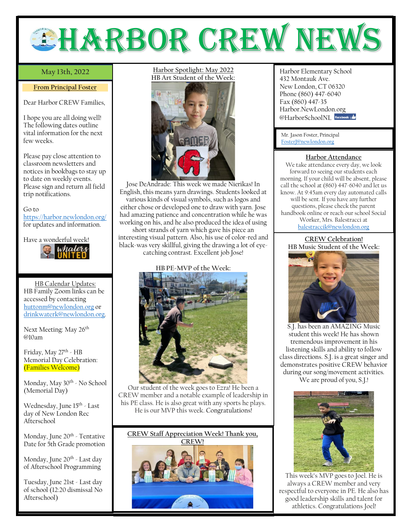

# May 13th, 2022

#### **From Principal Foster**

Dear Harbor CREW Families,

I hope you are all doing well! The following dates outline vital information for the next few weeks.

Please pay close attention to classroom newsletters and notices in bookbags to stay up to date on weekly events. Please sign and return all field trip notifications.

Go to <https://harbor.newlondon.org/> for updates and information.

Have a wonderful week!



HB Calendar Updates: HB Family Zoom links can be accessed by contacting [huttonm@newlondon.org](mailto:huttonm@newlondon.org) or [drinkwaterk@newlondon.org.](mailto:drinkwaterk@newlondon.org)

Next Meeting: May 26<sup>th</sup> @10am

Friday, May 27<sup>th</sup> - HB Memorial Day Celebration: (Families Welcome)

Monday, May 30<sup>th</sup> - No School (Memorial Day)

Wednesday, June 15<sup>th</sup> - Last day of New London Rec Afterschool

Monday, June 20<sup>th</sup> - Tentative Date for 5th Grade promotion

Monday, June 20<sup>th</sup> - Last day of Afterschool Programming

Tuesday, June 21st - Last day of school (12:20 dismissal No Afterschool)

**Harbor Spotlight: May 2022 HB Art Student of the Week:**



Jose DeAndrade: This week we made Nierikas! In English, this means yarn drawings. Students looked at various kinds of visual symbols, such as logos and either chose or developed one to draw with yarn. Jose had amazing patience and concentration while he was working on his, and he also produced the idea of using

short strands of yarn which gave his piece an interesting visual pattern. Also, his use of color-red and black-was very skillful, giving the drawing a lot of eyecatching contrast. Excellent job Jose!

# **HB PE-MVP of the Week:**



Our student of the week goes to Ezra! He been a CREW member and a notable example of leadership in his PE class. He is also great with any sports he plays. He is our MVP this week. Congratulations!



**May 13th, 2022** Harbor Elementary School 432 Montauk Ave. New London, CT 06320 Phone (860) 447-6040 Fax (860) 447-35 Harbor.NewLondon.org @HarborSchoolNI facebook

Mr. Jason Foster, Principal [FosterJ@newlondon.org](mailto:FosterJ@newlondon.org)

### **Harbor Attendance**

We take attendance every day, we look forward to seeing our students each morning. If your child will be absent, please call the school at (860) 447-6040 and let us know. At 9:45am every day automated calls will be sent. If you have any further questions, please check the parent handbook online or reach our school Social Worker, Mrs. Balestracci at [balestraccik@newlondon.org](mailto:balestraccik@newlondon.org)

**CREW Celebration! HB Music Student of the Week:** 



S.J. has been an AMAZING Music student this week! He has shown tremendous improvement in his listening skills and ability to follow class directions. S.J. is a great singer and demonstrates positive CREW behavior during our song/movement activities.

We are proud of you, S.J.!



This week's MVP goes to Joel. He is always a CREW member and very respectful to everyone in PE. He also has good leadership skills and talent for athletics. Congratulations Joel!